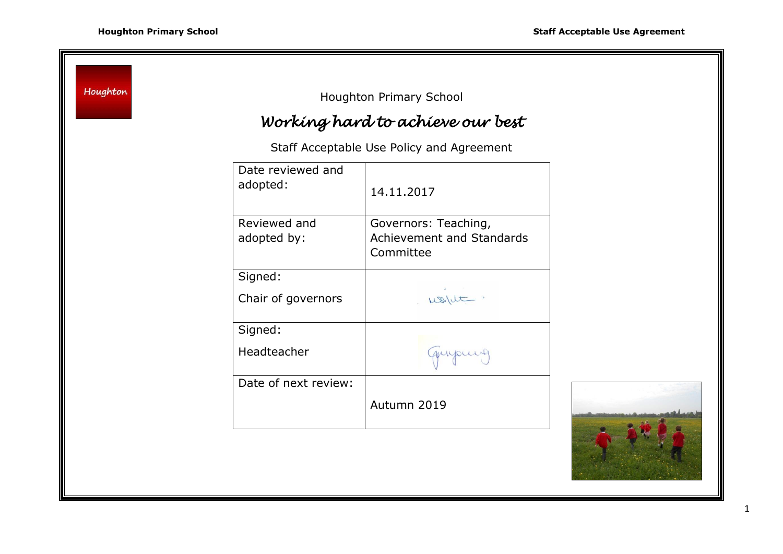Houghton Houghton Primary School *Working hard to achieve our best* Staff Acceptable Use Policy and Agreement Date reviewed and adopted:  $\begin{array}{|c|c|c|c|c|}\n\hline\n14.11.2017\n\end{array}$ Reviewed and Governors: Teaching, adopted by: Achievement and Standards Committee Signed: Chair of governors ussilt. Signed: Headteacher anyours Date of next review: Autumn 2019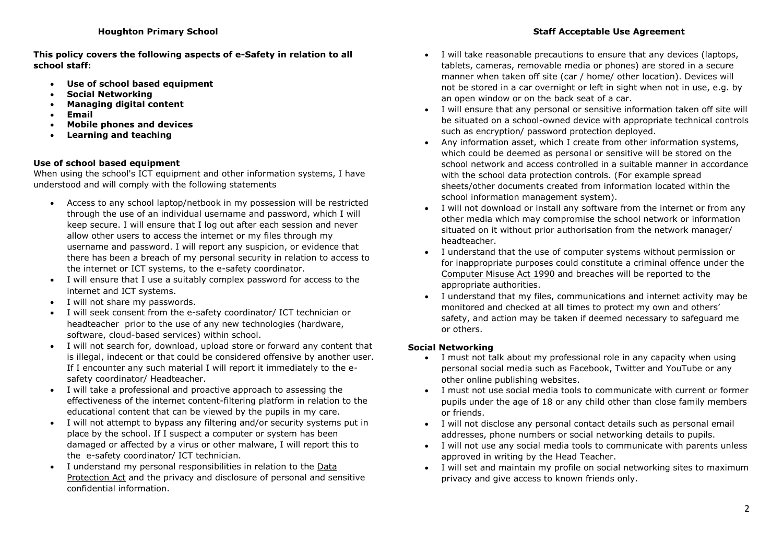**This policy covers the following aspects of e-Safety in relation to all school staff:**

- **Use of school based equipment**
- **Social Networking**
- **Managing digital content**
- **Email**
- **Mobile phones and devices**
- **Learning and teaching**

# **Use of school based equipment**

When using the school's ICT equipment and other information systems, I have understood and will comply with the following statements

- Access to any school laptop/netbook in my possession will be restricted through the use of an individual username and password, which I will keep secure. I will ensure that I log out after each session and never allow other users to access the internet or my files through my username and password. I will report any suspicion, or evidence that there has been a breach of my personal security in relation to access to the internet or ICT systems, to the e-safety coordinator.
- I will ensure that I use a suitably complex password for access to the internet and ICT systems.
- I will not share my passwords.
- I will seek consent from the e-safety coordinator/ ICT technician or headteacher prior to the use of any new technologies (hardware, software, cloud-based services) within school.
- I will not search for, download, upload store or forward any content that is illegal, indecent or that could be considered offensive by another user. If I encounter any such material I will report it immediately to the esafety coordinator/ Headteacher.
- I will take a professional and proactive approach to assessing the effectiveness of the internet content-filtering platform in relation to the educational content that can be viewed by the pupils in my care.
- I will not attempt to bypass any filtering and/or security systems put in place by the school. If I suspect a computer or system has been damaged or affected by a virus or other malware, I will report this to the e-safety coordinator/ ICT technician.
- I understand my personal responsibilities in relation to the [Data](https://www.gov.uk/data-protection/the-data-protection-act)  [Protection Act](https://www.gov.uk/data-protection/the-data-protection-act) and the privacy and disclosure of personal and sensitive confidential information.
- I will take reasonable precautions to ensure that any devices (laptops, tablets, cameras, removable media or phones) are stored in a secure manner when taken off site (car / home/ other location). Devices will not be stored in a car overnight or left in sight when not in use, e.g. by an open window or on the back seat of a car.
- I will ensure that any personal or sensitive information taken off site will be situated on a school-owned device with appropriate technical controls such as encryption/ password protection deployed.
- Any information asset, which I create from other information systems, which could be deemed as personal or sensitive will be stored on the school network and access controlled in a suitable manner in accordance with the school data protection controls. (For example spread sheets/other documents created from information located within the school information management system).
- I will not download or install any software from the internet or from any other media which may compromise the school network or information situated on it without prior authorisation from the network manager/ headteacher.
- I understand that the use of computer systems without permission or for inappropriate purposes could constitute a criminal offence under the [Computer Misuse Act 1990](http://www.cps.gov.uk/legal/a_to_c/computer_misuse_act_1990/) and breaches will be reported to the appropriate authorities.
- I understand that my files, communications and internet activity may be monitored and checked at all times to protect my own and others' safety, and action may be taken if deemed necessary to safeguard me or others.

# **Social Networking**

- I must not talk about my professional role in any capacity when using personal social media such as Facebook, Twitter and YouTube or any other online publishing websites.
- I must not use social media tools to communicate with current or former pupils under the age of 18 or any child other than close family members or friends.
- I will not disclose any personal contact details such as personal email addresses, phone numbers or social networking details to pupils.
- I will not use any social media tools to communicate with parents unless approved in writing by the Head Teacher.
- I will set and maintain my profile on social networking sites to maximum privacy and give access to known friends only.

# **Houghton Primary School Staff Acceptable Use Agreement**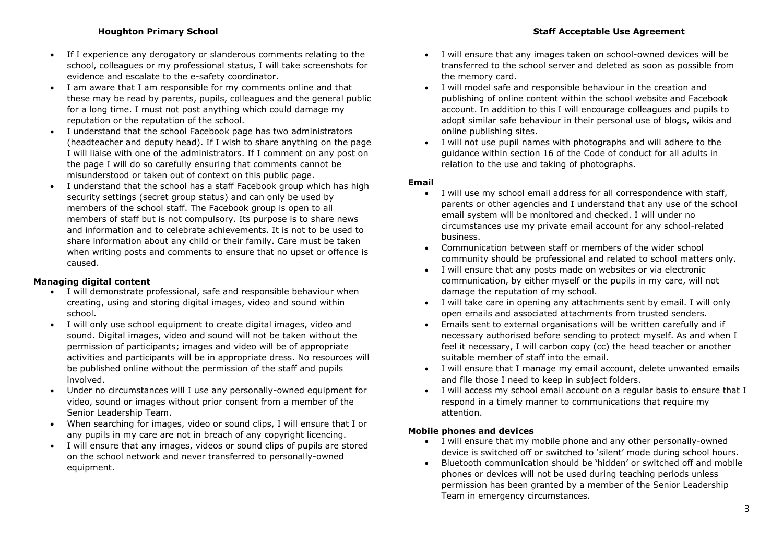- If I experience any derogatory or slanderous comments relating to the school, colleagues or my professional status, I will take screenshots for evidence and escalate to the e-safety coordinator.
- I am aware that I am responsible for my comments online and that these may be read by parents, pupils, colleagues and the general public for a long time. I must not post anything which could damage my reputation or the reputation of the school.
- I understand that the school Facebook page has two administrators (headteacher and deputy head). If I wish to share anything on the page I will liaise with one of the administrators. If I comment on any post on the page I will do so carefully ensuring that comments cannot be misunderstood or taken out of context on this public page.
- I understand that the school has a staff Facebook group which has high security settings (secret group status) and can only be used by members of the school staff. The Facebook group is open to all members of staff but is not compulsory. Its purpose is to share news and information and to celebrate achievements. It is not to be used to share information about any child or their family. Care must be taken when writing posts and comments to ensure that no upset or offence is caused.

## **Managing digital content**

- I will demonstrate professional, safe and responsible behaviour when creating, using and storing digital images, video and sound within school.
- I will only use school equipment to create digital images, video and sound. Digital images, video and sound will not be taken without the permission of participants; images and video will be of appropriate activities and participants will be in appropriate dress. No resources will be published online without the permission of the staff and pupils involved.
- Under no circumstances will I use any personally-owned equipment for video, sound or images without prior consent from a member of the Senior Leadership Team.
- When searching for images, video or sound clips, I will ensure that I or any pupils in my care are not in breach of any [copyright licencing.](http://schools.cla.co.uk/)
- I will ensure that any images, videos or sound clips of pupils are stored on the school network and never transferred to personally-owned equipment.
- I will ensure that any images taken on school-owned devices will be transferred to the school server and deleted as soon as possible from the memory card.
- I will model safe and responsible behaviour in the creation and publishing of online content within the school website and Facebook account. In addition to this I will encourage colleagues and pupils to adopt similar safe behaviour in their personal use of blogs, wikis and online publishing sites.
- I will not use pupil names with photographs and will adhere to the guidance within section 16 of the Code of conduct for all adults in relation to the use and taking of photographs.

### **Email**

- I will use my school email address for all correspondence with staff, parents or other agencies and I understand that any use of the school email system will be monitored and checked. I will under no circumstances use my private email account for any school-related business.
- Communication between staff or members of the wider school community should be professional and related to school matters only.
- I will ensure that any posts made on websites or via electronic communication, by either myself or the pupils in my care, will not damage the reputation of my school.
- I will take care in opening any attachments sent by email. I will only open emails and associated attachments from trusted senders.
- Emails sent to external organisations will be written carefully and if necessary authorised before sending to protect myself. As and when I feel it necessary, I will carbon copy (cc) the head teacher or another suitable member of staff into the email.
- I will ensure that I manage my email account, delete unwanted emails and file those I need to keep in subject folders.
- I will access my school email account on a regular basis to ensure that I respond in a timely manner to communications that require my attention.

### **Mobile phones and devices**

- I will ensure that my mobile phone and any other personally-owned device is switched off or switched to 'silent' mode during school hours.
- Bluetooth communication should be 'hidden' or switched off and mobile phones or devices will not be used during teaching periods unless permission has been granted by a member of the Senior Leadership Team in emergency circumstances.

## **Houghton Primary School Staff Acceptable Use Agreement**